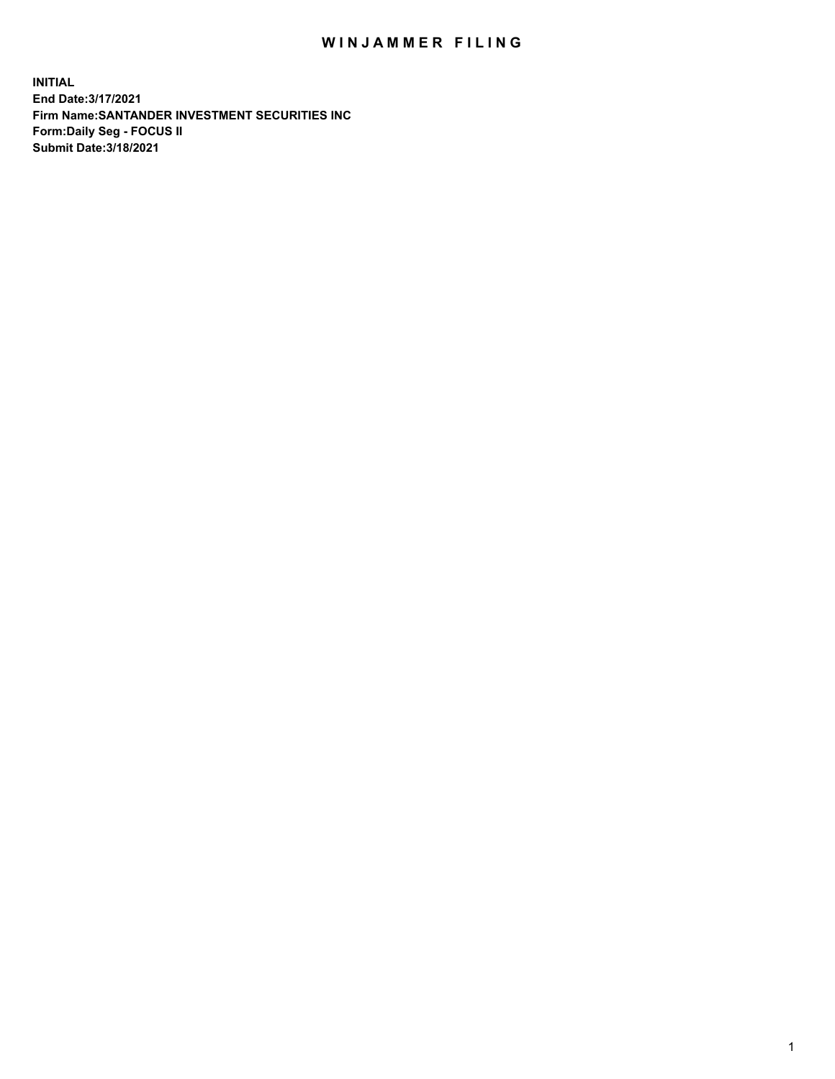## WIN JAMMER FILING

**INITIAL End Date:3/17/2021 Firm Name:SANTANDER INVESTMENT SECURITIES INC Form:Daily Seg - FOCUS II Submit Date:3/18/2021**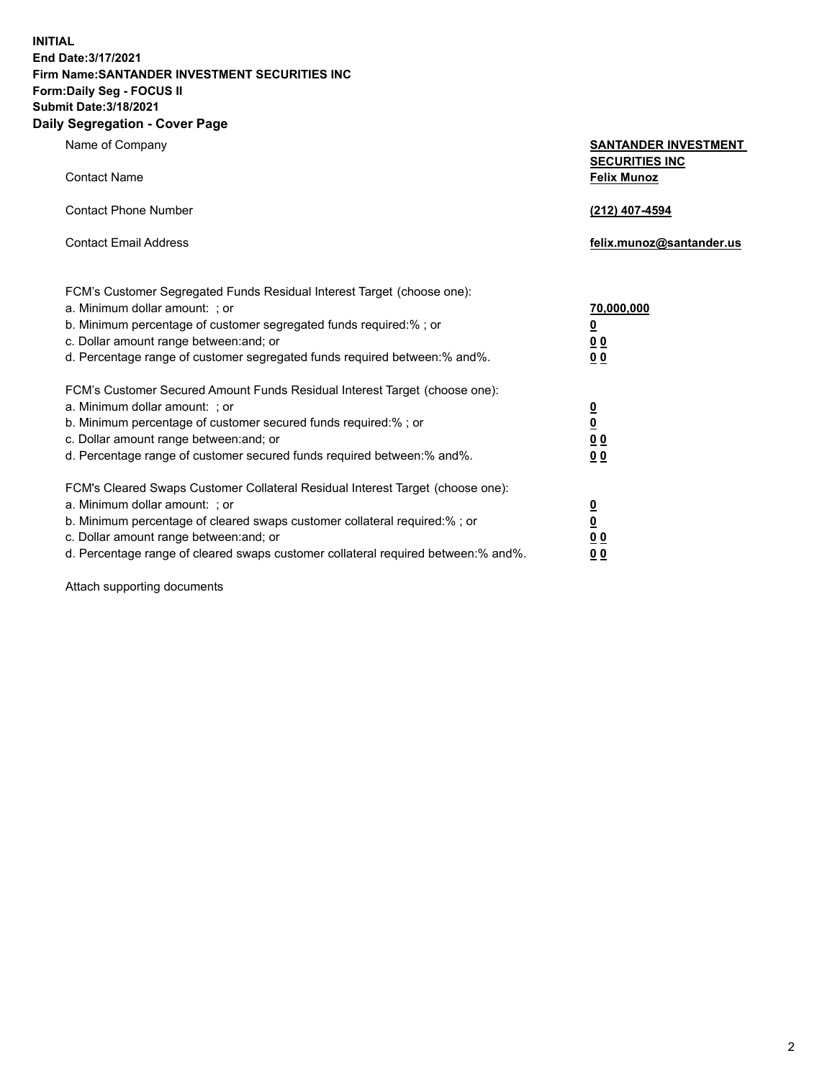**INITIAL End Date:3/17/2021 Firm Name:SANTANDER INVESTMENT SECURITIES INC Form:Daily Seg - FOCUS II Submit Date:3/18/2021 Daily Segregation - Cover Page**

| Name of Company                                                                   | <b>SANTANDER INVESTMENT</b><br><b>SECURITIES INC</b> |
|-----------------------------------------------------------------------------------|------------------------------------------------------|
| <b>Contact Name</b>                                                               | <b>Felix Munoz</b>                                   |
| <b>Contact Phone Number</b>                                                       | (212) 407-4594                                       |
| <b>Contact Email Address</b>                                                      | felix.munoz@santander.us                             |
| FCM's Customer Segregated Funds Residual Interest Target (choose one):            |                                                      |
| a. Minimum dollar amount: ; or                                                    | 70,000,000                                           |
| b. Minimum percentage of customer segregated funds required:%; or                 | <u>0</u>                                             |
| c. Dollar amount range between: and; or                                           | 0 <sub>0</sub>                                       |
| d. Percentage range of customer segregated funds required between:% and%.         | 0 <sub>0</sub>                                       |
| FCM's Customer Secured Amount Funds Residual Interest Target (choose one):        |                                                      |
| a. Minimum dollar amount: ; or                                                    | $\frac{0}{0}$                                        |
| b. Minimum percentage of customer secured funds required:%; or                    |                                                      |
| c. Dollar amount range between: and; or                                           | 0 <sub>0</sub>                                       |
| d. Percentage range of customer secured funds required between:% and%.            | 0 <sub>0</sub>                                       |
| FCM's Cleared Swaps Customer Collateral Residual Interest Target (choose one):    |                                                      |
| a. Minimum dollar amount: ; or                                                    | $\overline{\mathbf{0}}$                              |
| b. Minimum percentage of cleared swaps customer collateral required:% ; or        | $\underline{\mathbf{0}}$                             |
| c. Dollar amount range between: and; or                                           | 0 <sub>0</sub>                                       |
| d. Percentage range of cleared swaps customer collateral required between:% and%. | <u>00</u>                                            |

Attach supporting documents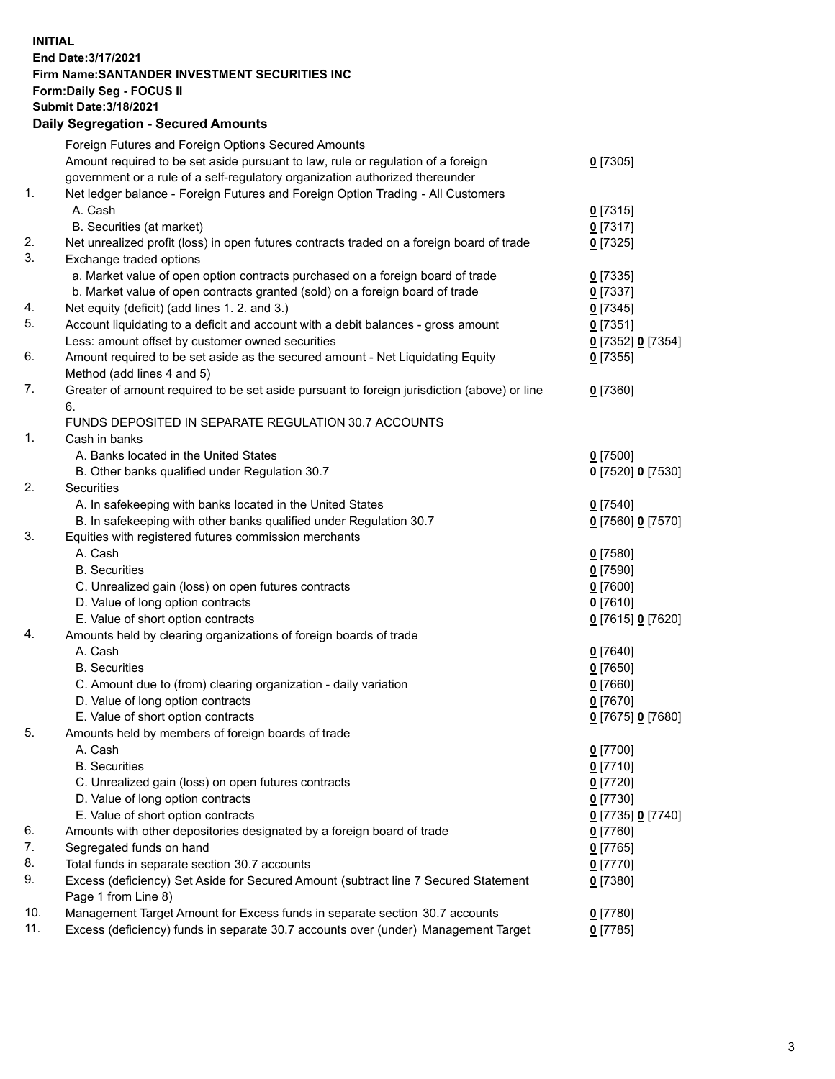**INITIAL End Date:3/17/2021 Firm Name:SANTANDER INVESTMENT SECURITIES INC Form:Daily Seg - FOCUS II Submit Date:3/18/2021 Daily Segregation - Secured Amounts**

|     | Foreign Futures and Foreign Options Secured Amounts                                         |                   |
|-----|---------------------------------------------------------------------------------------------|-------------------|
|     | Amount required to be set aside pursuant to law, rule or regulation of a foreign            | $0$ [7305]        |
|     | government or a rule of a self-regulatory organization authorized thereunder                |                   |
| 1.  | Net ledger balance - Foreign Futures and Foreign Option Trading - All Customers             |                   |
|     | A. Cash                                                                                     | $0$ [7315]        |
|     | B. Securities (at market)                                                                   | $0$ [7317]        |
| 2.  | Net unrealized profit (loss) in open futures contracts traded on a foreign board of trade   | $0$ [7325]        |
| 3.  | Exchange traded options                                                                     |                   |
|     | a. Market value of open option contracts purchased on a foreign board of trade              | $0$ [7335]        |
|     | b. Market value of open contracts granted (sold) on a foreign board of trade                | $0$ [7337]        |
| 4.  | Net equity (deficit) (add lines 1. 2. and 3.)                                               | $0$ [7345]        |
| 5.  | Account liquidating to a deficit and account with a debit balances - gross amount           | $0$ [7351]        |
|     | Less: amount offset by customer owned securities                                            | 0 [7352] 0 [7354] |
| 6.  | Amount required to be set aside as the secured amount - Net Liquidating Equity              | $0$ [7355]        |
|     | Method (add lines 4 and 5)                                                                  |                   |
| 7.  | Greater of amount required to be set aside pursuant to foreign jurisdiction (above) or line | $0$ [7360]        |
|     | 6.                                                                                          |                   |
|     | FUNDS DEPOSITED IN SEPARATE REGULATION 30.7 ACCOUNTS                                        |                   |
| 1.  | Cash in banks                                                                               |                   |
|     | A. Banks located in the United States                                                       | $0$ [7500]        |
|     | B. Other banks qualified under Regulation 30.7                                              | 0 [7520] 0 [7530] |
| 2.  | Securities                                                                                  |                   |
|     | A. In safekeeping with banks located in the United States                                   | $0$ [7540]        |
|     | B. In safekeeping with other banks qualified under Regulation 30.7                          | 0 [7560] 0 [7570] |
| 3.  | Equities with registered futures commission merchants                                       |                   |
|     | A. Cash                                                                                     | $0$ [7580]        |
|     | <b>B.</b> Securities                                                                        | $0$ [7590]        |
|     | C. Unrealized gain (loss) on open futures contracts                                         | $0$ [7600]        |
|     | D. Value of long option contracts                                                           | $0$ [7610]        |
|     | E. Value of short option contracts                                                          | 0 [7615] 0 [7620] |
| 4.  | Amounts held by clearing organizations of foreign boards of trade                           |                   |
|     | A. Cash                                                                                     | $0$ [7640]        |
|     | <b>B.</b> Securities                                                                        | $0$ [7650]        |
|     | C. Amount due to (from) clearing organization - daily variation                             | $0$ [7660]        |
|     | D. Value of long option contracts                                                           | $0$ [7670]        |
|     | E. Value of short option contracts                                                          | 0 [7675] 0 [7680] |
| 5.  | Amounts held by members of foreign boards of trade                                          |                   |
|     | A. Cash                                                                                     | $0$ [7700]        |
|     | <b>B.</b> Securities                                                                        | $0$ [7710]        |
|     | C. Unrealized gain (loss) on open futures contracts                                         | $0$ [7720]        |
|     | D. Value of long option contracts                                                           | $0$ [7730]        |
|     | E. Value of short option contracts                                                          | 0 [7735] 0 [7740] |
| 6.  | Amounts with other depositories designated by a foreign board of trade                      | $0$ [7760]        |
| 7.  | Segregated funds on hand                                                                    | $0$ [7765]        |
| 8.  | Total funds in separate section 30.7 accounts                                               | $0$ [7770]        |
| 9.  | Excess (deficiency) Set Aside for Secured Amount (subtract line 7 Secured Statement         | $0$ [7380]        |
|     | Page 1 from Line 8)                                                                         |                   |
| 10. | Management Target Amount for Excess funds in separate section 30.7 accounts                 | $0$ [7780]        |
| 11. | Excess (deficiency) funds in separate 30.7 accounts over (under) Management Target          | $0$ [7785]        |
|     |                                                                                             |                   |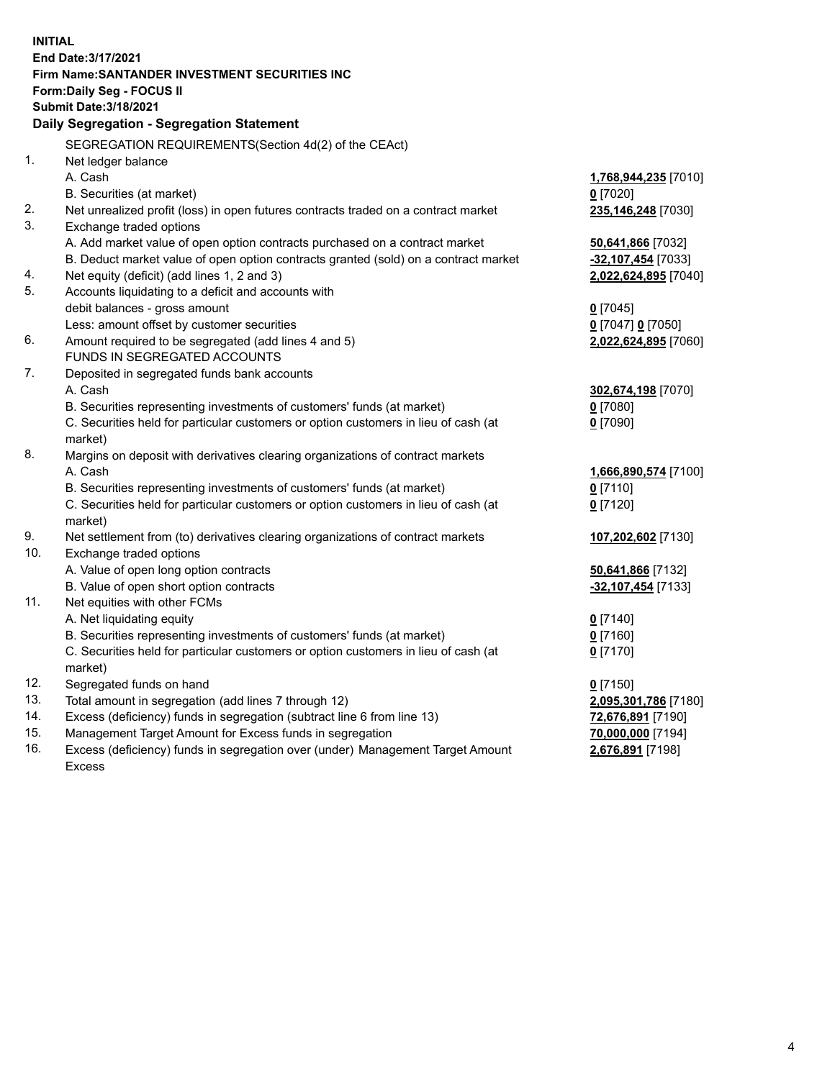| <b>INITIAL</b> | End Date: 3/17/2021<br><b>Firm Name: SANTANDER INVESTMENT SECURITIES INC</b><br><b>Form:Daily Seg - FOCUS II</b> |                      |
|----------------|------------------------------------------------------------------------------------------------------------------|----------------------|
|                | <b>Submit Date: 3/18/2021</b><br>Daily Segregation - Segregation Statement                                       |                      |
|                | SEGREGATION REQUIREMENTS(Section 4d(2) of the CEAct)                                                             |                      |
| 1.             | Net ledger balance                                                                                               |                      |
|                | A. Cash                                                                                                          | 1,768,944,235 [7010] |
|                | B. Securities (at market)                                                                                        | $0$ [7020]           |
| 2.             | Net unrealized profit (loss) in open futures contracts traded on a contract market                               | 235,146,248 [7030]   |
| 3.             | Exchange traded options                                                                                          |                      |
|                | A. Add market value of open option contracts purchased on a contract market                                      | 50,641,866 [7032]    |
|                | B. Deduct market value of open option contracts granted (sold) on a contract market                              | -32,107,454 [7033]   |
| 4.             | Net equity (deficit) (add lines 1, 2 and 3)                                                                      | 2,022,624,895 [7040] |
| 5.             | Accounts liquidating to a deficit and accounts with                                                              |                      |
|                | debit balances - gross amount                                                                                    | $0$ [7045]           |
|                | Less: amount offset by customer securities                                                                       | 0 [7047] 0 [7050]    |
| 6.             | Amount required to be segregated (add lines 4 and 5)                                                             | 2,022,624,895 [7060] |
|                | FUNDS IN SEGREGATED ACCOUNTS                                                                                     |                      |
| 7.             | Deposited in segregated funds bank accounts                                                                      |                      |
|                | A. Cash                                                                                                          | 302,674,198 [7070]   |
|                | B. Securities representing investments of customers' funds (at market)                                           | $0$ [7080]           |
|                | C. Securities held for particular customers or option customers in lieu of cash (at                              | $0$ [7090]           |
|                | market)                                                                                                          |                      |
| 8.             | Margins on deposit with derivatives clearing organizations of contract markets                                   |                      |
|                | A. Cash                                                                                                          | 1,666,890,574 [7100] |
|                | B. Securities representing investments of customers' funds (at market)                                           | $0$ [7110]           |
|                | C. Securities held for particular customers or option customers in lieu of cash (at                              | $0$ [7120]           |
| 9.             | market)<br>Net settlement from (to) derivatives clearing organizations of contract markets                       | 107,202,602 [7130]   |
| 10.            | Exchange traded options                                                                                          |                      |
|                | A. Value of open long option contracts                                                                           | 50,641,866 [7132]    |
|                | B. Value of open short option contracts                                                                          | -32,107,454 [7133]   |
| 11.            | Net equities with other FCMs                                                                                     |                      |
|                | A. Net liquidating equity                                                                                        | $0$ [7140]           |
|                | B. Securities representing investments of customers' funds (at market)                                           | $0$ [7160]           |
|                | C. Securities held for particular customers or option customers in lieu of cash (at                              | $0$ [7170]           |
|                | market)                                                                                                          |                      |
| 12.            | Segregated funds on hand                                                                                         | $0$ [7150]           |
| 13.            | Total amount in segregation (add lines 7 through 12)                                                             | 2,095,301,786 [7180] |
| 14.            | Excess (deficiency) funds in segregation (subtract line 6 from line 13)                                          | 72,676,891 [7190]    |
| 15.            | Management Target Amount for Excess funds in segregation                                                         | 70,000,000 [7194]    |
| 16.            | Excess (deficiency) funds in segregation over (under) Management Target Amount                                   | 2,676,891 [7198]     |
|                | <b>Excess</b>                                                                                                    |                      |